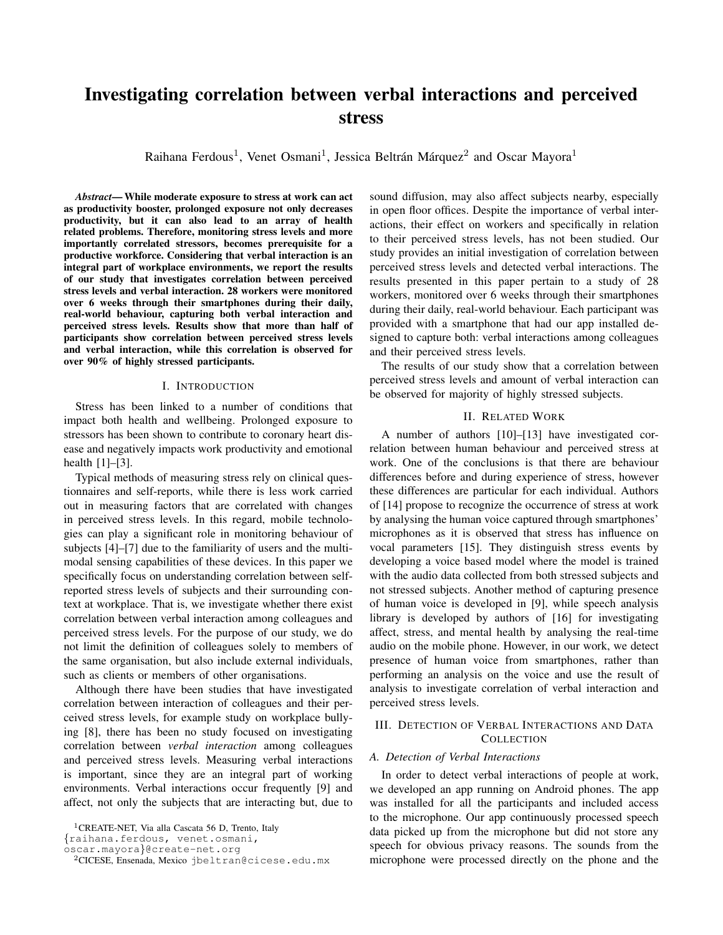# Investigating correlation between verbal interactions and perceived **stress**

Raihana Ferdous<sup>1</sup>, Venet Osmani<sup>1</sup>, Jessica Beltrán Márquez<sup>2</sup> and Oscar Mayora<sup>1</sup>

Abstract—While moderate exposure to stress at work can act as productivity booster, prolonged exposure not only decreases productivity, but it can also lead to an array of health related problems. Therefore, monitoring stress levels and more importantly correlated stressors, becomes prerequisite for a productive workforce. Considering that verbal interaction is an integral part of workplace environments, we report the results of our study that investigates correlation between perceived stress levels and verbal interaction. 28 workers were monitored over 6 weeks through their smartphones during their daily, real-world behaviour, capturing both verbal interaction and perceived stress levels. Results show that more than half of participants show correlation between perceived stress levels and verbal interaction, while this correlation is observed for over 90% of highly stressed participants.

#### I. INTRODUCTION

Stress has been linked to a number of conditions that impact both health and wellbeing. Prolonged exposure to stressors has been shown to contribute to coronary heart disease and negatively impacts work productivity and emotional health  $[1]-[3]$ .

Typical methods of measuring stress rely on clinical questionnaires and self-reports, while there is less work carried out in measuring factors that are correlated with changes in perceived stress levels. In this regard, mobile technologies can play a significant role in monitoring behaviour of subjects [4]–[7] due to the familiarity of users and the multimodal sensing capabilities of these devices. In this paper we specifically focus on understanding correlation between selfreported stress levels of subjects and their surrounding context at workplace. That is, we investigate whether there exist correlation between verbal interaction among colleagues and perceived stress levels. For the purpose of our study, we do not limit the definition of colleagues solely to members of the same organisation, but also include external individuals, such as clients or members of other organisations.

Although there have been studies that have investigated correlation between interaction of colleagues and their perceived stress levels, for example study on workplace bullying [8], there has been no study focused on investigating correlation between verbal interaction among colleagues and perceived stress levels. Measuring verbal interactions is important, since they are an integral part of working environments. Verbal interactions occur frequently [9] and affect, not only the subjects that are interacting but, due to

{raihana.ferdous, venet.osmani,

oscar.mayora}@create-net.org

sound diffusion, may also affect subjects nearby, especially in open floor offices. Despite the importance of verbal interactions, their effect on workers and specifically in relation to their perceived stress levels, has not been studied. Our study provides an initial investigation of correlation between perceived stress levels and detected verbal interactions. The results presented in this paper pertain to a study of 28 workers, monitored over 6 weeks through their smartphones during their daily, real-world behaviour. Each participant was provided with a smartphone that had our app installed designed to capture both: verbal interactions among colleagues and their perceived stress levels.

The results of our study show that a correlation between perceived stress levels and amount of verbal interaction can be observed for majority of highly stressed subjects.

#### **II. RELATED WORK**

A number of authors [10]–[13] have investigated correlation between human behaviour and perceived stress at work. One of the conclusions is that there are behaviour differences before and during experience of stress, however these differences are particular for each individual. Authors of [14] propose to recognize the occurrence of stress at work by analysing the human voice captured through smartphones' microphones as it is observed that stress has influence on vocal parameters [15]. They distinguish stress events by developing a voice based model where the model is trained with the audio data collected from both stressed subjects and not stressed subjects. Another method of capturing presence of human voice is developed in [9], while speech analysis library is developed by authors of [16] for investigating affect, stress, and mental health by analysing the real-time audio on the mobile phone. However, in our work, we detect presence of human voice from smartphones, rather than performing an analysis on the voice and use the result of analysis to investigate correlation of verbal interaction and perceived stress levels.

#### III. DETECTION OF VERBAL INTERACTIONS AND DATA **COLLECTION**

#### A. Detection of Verbal Interactions

In order to detect verbal interactions of people at work, we developed an app running on Android phones. The app was installed for all the participants and included access to the microphone. Our app continuously processed speech data picked up from the microphone but did not store any speech for obvious privacy reasons. The sounds from the microphone were processed directly on the phone and the

<sup>&</sup>lt;sup>1</sup>CREATE-NET, Via alla Cascata 56 D, Trento, Italy

<sup>&</sup>lt;sup>2</sup>CICESE, Ensenada, Mexico ibeltran@cicese.edu.mx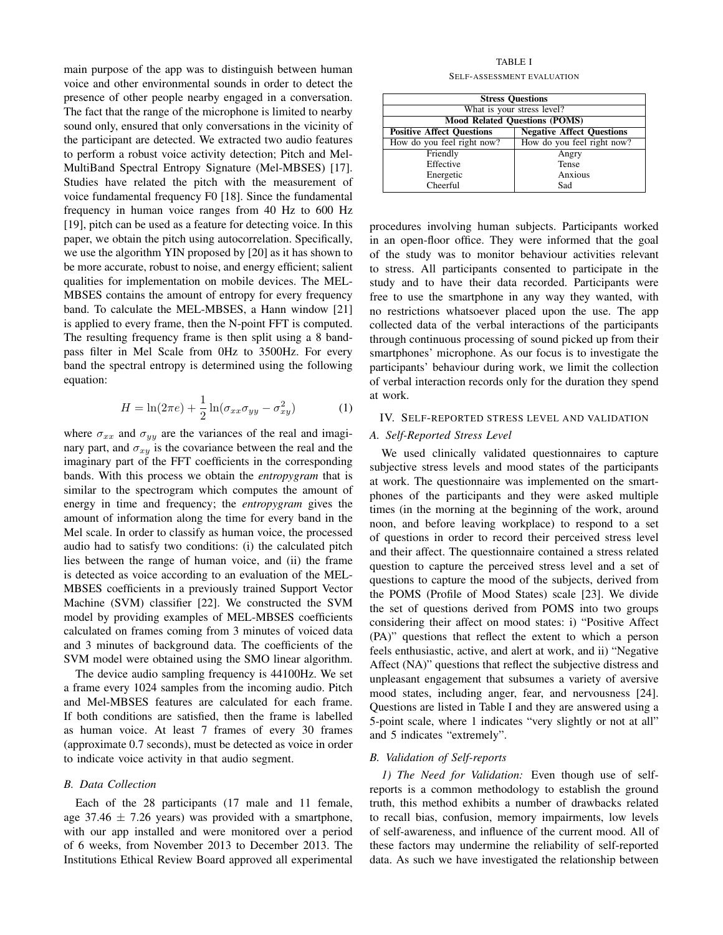main purpose of the app was to distinguish between human voice and other environmental sounds in order to detect the presence of other people nearby engaged in a conversation. The fact that the range of the microphone is limited to nearby sound only, ensured that only conversations in the vicinity of the participant are detected. We extracted two audio features to perform a robust voice activity detection; Pitch and Mel-MultiBand Spectral Entropy Signature (Mel-MBSES) [17]. Studies have related the pitch with the measurement of voice fundamental frequency F0 [18]. Since the fundamental frequency in human voice ranges from 40 Hz to 600 Hz [19], pitch can be used as a feature for detecting voice. In this paper, we obtain the pitch using autocorrelation. Specifically, we use the algorithm YIN proposed by [20] as it has shown to be more accurate, robust to noise, and energy efficient; salient qualities for implementation on mobile devices. The MEL-MBSES contains the amount of entropy for every frequency band. To calculate the MEL-MBSES, a Hann window [21] is applied to every frame, then the N-point FFT is computed. The resulting frequency frame is then split using a 8 bandpass filter in Mel Scale from 0Hz to 3500Hz. For every band the spectral entropy is determined using the following equation:

$$
H = \ln(2\pi e) + \frac{1}{2}\ln(\sigma_{xx}\sigma_{yy} - \sigma_{xy}^2)
$$
 (1)

where  $\sigma_{xx}$  and  $\sigma_{yy}$  are the variances of the real and imaginary part, and  $\sigma_{xy}$  is the covariance between the real and the imaginary part of the FFT coefficients in the corresponding bands. With this process we obtain the *entropygram* that is similar to the spectrogram which computes the amount of energy in time and frequency; the *entropygram* gives the amount of information along the time for every band in the Mel scale. In order to classify as human voice, the processed audio had to satisfy two conditions: (i) the calculated pitch lies between the range of human voice, and (ii) the frame is detected as voice according to an evaluation of the MEL-MBSES coefficients in a previously trained Support Vector Machine (SVM) classifier [22]. We constructed the SVM model by providing examples of MEL-MBSES coefficients calculated on frames coming from 3 minutes of voiced data and 3 minutes of background data. The coefficients of the SVM model were obtained using the SMO linear algorithm.

The device audio sampling frequency is 44100Hz. We set a frame every 1024 samples from the incoming audio. Pitch and Mel-MBSES features are calculated for each frame. If both conditions are satisfied, then the frame is labelled as human voice. At least 7 frames of every 30 frames (approximate 0.7 seconds), must be detected as voice in order to indicate voice activity in that audio segment.

#### **B.** Data Collection

Each of the 28 participants (17 male and 11 female, age 37.46  $\pm$  7.26 years) was provided with a smartphone, with our app installed and were monitored over a period of 6 weeks, from November 2013 to December 2013. The Institutions Ethical Review Board approved all experimental

# **TABLE I**

#### SELF-ASSESSMENT EVALUATION

| <b>Stress Questions</b>              |                                  |  |  |  |
|--------------------------------------|----------------------------------|--|--|--|
| What is your stress level?           |                                  |  |  |  |
| <b>Mood Related Questions (POMS)</b> |                                  |  |  |  |
| <b>Positive Affect Questions</b>     | <b>Negative Affect Questions</b> |  |  |  |
| How do you feel right now?           | How do you feel right now?       |  |  |  |
| Friendly                             | Angry                            |  |  |  |
| Effective                            | Tense                            |  |  |  |
| Energetic                            | Anxious                          |  |  |  |
| Cheerful                             | Sad                              |  |  |  |

procedures involving human subjects. Participants worked in an open-floor office. They were informed that the goal of the study was to monitor behaviour activities relevant to stress. All participants consented to participate in the study and to have their data recorded. Participants were free to use the smartphone in any way they wanted, with no restrictions whatsoever placed upon the use. The app collected data of the verbal interactions of the participants through continuous processing of sound picked up from their smartphones' microphone. As our focus is to investigate the participants' behaviour during work, we limit the collection of verbal interaction records only for the duration they spend at work.

# IV. SELF-REPORTED STRESS LEVEL AND VALIDATION

#### A. Self-Reported Stress Level

We used clinically validated questionnaires to capture subjective stress levels and mood states of the participants at work. The questionnaire was implemented on the smartphones of the participants and they were asked multiple times (in the morning at the beginning of the work, around noon, and before leaving workplace) to respond to a set of questions in order to record their perceived stress level and their affect. The questionnaire contained a stress related question to capture the perceived stress level and a set of questions to capture the mood of the subjects, derived from the POMS (Profile of Mood States) scale [23]. We divide the set of questions derived from POMS into two groups considering their affect on mood states: i) "Positive Affect (PA)" questions that reflect the extent to which a person feels enthusiastic, active, and alert at work, and ii) "Negative Affect (NA)" questions that reflect the subjective distress and unpleasant engagement that subsumes a variety of aversive mood states, including anger, fear, and nervousness [24]. Questions are listed in Table I and they are answered using a 5-point scale, where 1 indicates "very slightly or not at all" and 5 indicates "extremely".

# B. Validation of Self-reports

1) The Need for Validation: Even though use of selfreports is a common methodology to establish the ground truth, this method exhibits a number of drawbacks related to recall bias, confusion, memory impairments, low levels of self-awareness, and influence of the current mood. All of these factors may undermine the reliability of self-reported data. As such we have investigated the relationship between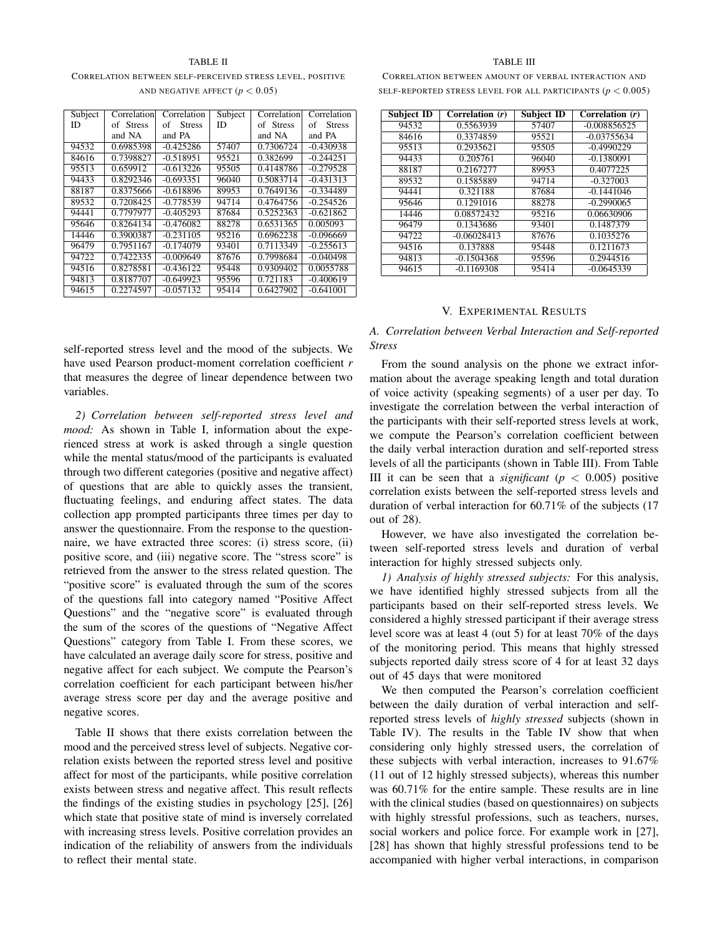#### **TABLE II**

CORRELATION BETWEEN SELF-PERCEIVED STRESS LEVEL, POSITIVE AND NEGATIVE AFFECT  $(p < 0.05)$ 

| Subject | Correlation | Correlation         | Subject | Correlation            | Correlation         |
|---------|-------------|---------------------|---------|------------------------|---------------------|
| ID      | of Stress   | <b>Stress</b><br>of | ID      | of Stress              | <b>Stress</b><br>of |
|         | and NA      | and PA              |         | and NA                 | and PA              |
| 94532   | 0.6985398   | $-0.425286$         | 57407   | 0.7306724              | $-0.430938$         |
| 84616   | 0.7398827   | $-0.518951$         | 95521   | 0.382699               | $-0.244251$         |
| 95513   | 0.659912    | $-0.613226$         | 95505   | 0.4148786              | $-0.279528$         |
| 94433   | 0.8292346   | $-0.693351$         | 96040   | $0.50837\overline{14}$ | $-0.431313$         |
| 88187   | 0.8375666   | $-0.618896$         | 89953   | 0.7649136              | $-0.334489$         |
| 89532   | 0.7208425   | $-0.778539$         | 94714   | 0.4764756              | $-0.254526$         |
| 94441   | 0.7797977   | $-0.405293$         | 87684   | 0.5252363              | $-0.621862$         |
| 95646   | 0.8264134   | $-0.476082$         | 88278   | 0.6531365              | 0.005093            |
| 14446   | 0.3900387   | $-0.231105$         | 95216   | 0.6962238              | $-0.096669$         |
| 96479   | 0.7951167   | $-0.174079$         | 93401   | 0.7113349              | $-0.255613$         |
| 94722   | 0.7422335   | $-0.009649$         | 87676   | 0.7998684              | $-0.040498$         |
| 94516   | 0.8278581   | $-0.436122$         | 95448   | 0.9309402              | 0.0055788           |
| 94813   | 0.8187707   | $-0.649923$         | 95596   | 0.721183               | $-0.400619$         |
| 94615   | 0.2274597   | $-0.057132$         | 95414   | 0.6427902              | $-0.641001$         |

#### **TABLE III**

CORRELATION BETWEEN AMOUNT OF VERBAL INTERACTION AND SELF-REPORTED STRESS LEVEL FOR ALL PARTICIPANTS ( $p < 0.005$ )

| <b>Subject ID</b> | Correlation $(r)$ | <b>Subject ID</b> | Correlation $(r)$ |
|-------------------|-------------------|-------------------|-------------------|
| 94532             | 0.5563939         | 57407             | $-0.008856525$    |
| 84616             | 0.3374859         | 95521             | $-0.03755634$     |
| 95513             | 0.2935621         | 95505             | $-0.4990229$      |
| 94433             | 0.205761          | 96040             | $-0.1380091$      |
| 88187             | 0.2167277         | 89953             | 0.4077225         |
| 89532             | 0.1585889         | 94714             | $-0.327003$       |
| 94441             | 0.321188          | 87684             | $-0.1441046$      |
| 95646             | 0.1291016         | 88278             | $-0.2990065$      |
| 14446             | 0.08572432        | 95216             | 0.06630906        |
| 96479             | 0.1343686         | 93401             | 0.1487379         |
| 94722             | $-0.06028413$     | 87676             | 0.1035276         |
| 94516             | 0.137888          | 95448             | 0.1211673         |
| 94813             | $-0.1504368$      | 95596             | 0.2944516         |
| 94615             | $-0.1169308$      | 95414             | $-0.0645339$      |

#### V. EXPERIMENTAL RESULTS

self-reported stress level and the mood of the subjects. We have used Pearson product-moment correlation coefficient  $r$ that measures the degree of linear dependence between two variables.

2) Correlation between self-reported stress level and *mood:* As shown in Table I, information about the experienced stress at work is asked through a single question while the mental status/mood of the participants is evaluated through two different categories (positive and negative affect) of questions that are able to quickly asses the transient, fluctuating feelings, and enduring affect states. The data collection app prompted participants three times per day to answer the questionnaire. From the response to the questionnaire, we have extracted three scores: (i) stress score, (ii) positive score, and (iii) negative score. The "stress score" is retrieved from the answer to the stress related question. The "positive score" is evaluated through the sum of the scores of the questions fall into category named "Positive Affect Questions" and the "negative score" is evaluated through the sum of the scores of the questions of "Negative Affect Questions" category from Table I. From these scores, we have calculated an average daily score for stress, positive and negative affect for each subject. We compute the Pearson's correlation coefficient for each participant between his/her average stress score per day and the average positive and negative scores.

Table II shows that there exists correlation between the mood and the perceived stress level of subjects. Negative correlation exists between the reported stress level and positive affect for most of the participants, while positive correlation exists between stress and negative affect. This result reflects the findings of the existing studies in psychology  $[25]$ ,  $[26]$ which state that positive state of mind is inversely correlated with increasing stress levels. Positive correlation provides an indication of the reliability of answers from the individuals to reflect their mental state.

A. Correlation between Verbal Interaction and Self-reported **Stress** 

From the sound analysis on the phone we extract information about the average speaking length and total duration of voice activity (speaking segments) of a user per day. To investigate the correlation between the verbal interaction of the participants with their self-reported stress levels at work, we compute the Pearson's correlation coefficient between the daily verbal interaction duration and self-reported stress levels of all the participants (shown in Table III). From Table III it can be seen that a *significant* ( $p < 0.005$ ) positive correlation exists between the self-reported stress levels and duration of verbal interaction for  $60.71\%$  of the subjects (17 out of 28).

However, we have also investigated the correlation between self-reported stress levels and duration of verbal interaction for highly stressed subjects only.

1) Analysis of highly stressed subjects: For this analysis, we have identified highly stressed subjects from all the participants based on their self-reported stress levels. We considered a highly stressed participant if their average stress level score was at least 4 (out 5) for at least 70% of the days of the monitoring period. This means that highly stressed subjects reported daily stress score of 4 for at least 32 days out of 45 days that were monitored

We then computed the Pearson's correlation coefficient between the daily duration of verbal interaction and selfreported stress levels of highly stressed subjects (shown in Table IV). The results in the Table IV show that when considering only highly stressed users, the correlation of these subjects with verbal interaction, increases to 91.67% (11 out of 12 highly stressed subjects), whereas this number was 60.71% for the entire sample. These results are in line with the clinical studies (based on questionnaires) on subjects with highly stressful professions, such as teachers, nurses, social workers and police force. For example work in [27], [28] has shown that highly stressful professions tend to be accompanied with higher verbal interactions, in comparison